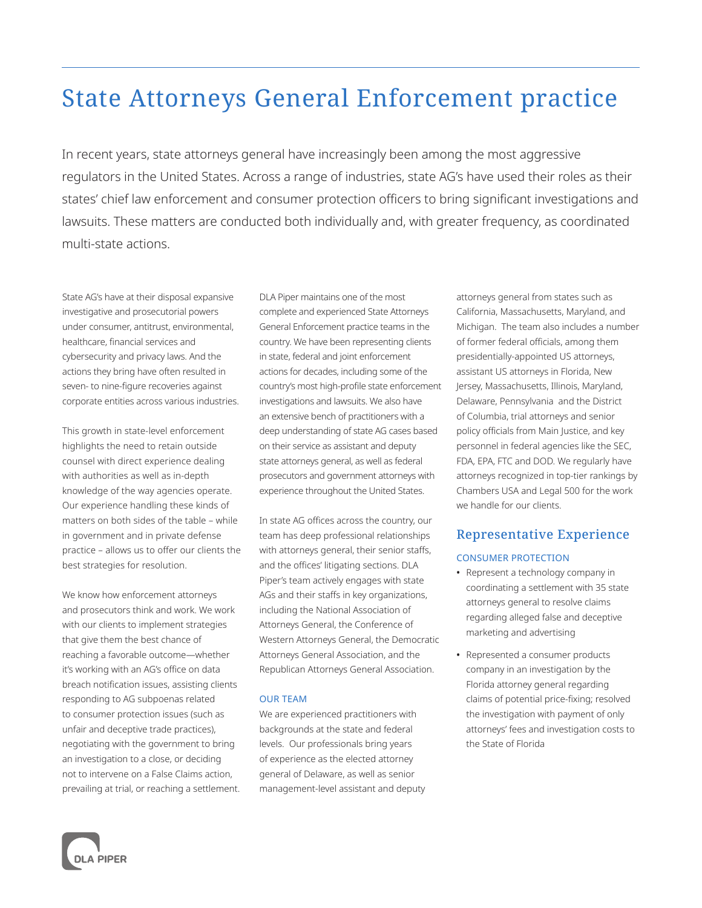# State Attorneys General Enforcement practice

In recent years, state attorneys general have increasingly been among the most aggressive regulators in the United States. Across a range of industries, state AG's have used their roles as their states' chief law enforcement and consumer protection officers to bring significant investigations and lawsuits. These matters are conducted both individually and, with greater frequency, as coordinated multi-state actions.

State AG's have at their disposal expansive investigative and prosecutorial powers under consumer, antitrust, environmental, healthcare, financial services and cybersecurity and privacy laws. And the actions they bring have often resulted in seven- to nine-figure recoveries against corporate entities across various industries.

This growth in state-level enforcement highlights the need to retain outside counsel with direct experience dealing with authorities as well as in-depth knowledge of the way agencies operate. Our experience handling these kinds of matters on both sides of the table – while in government and in private defense practice – allows us to offer our clients the best strategies for resolution.

We know how enforcement attorneys and prosecutors think and work. We work with our clients to implement strategies that give them the best chance of reaching a favorable outcome—whether it's working with an AG's office on data breach notification issues, assisting clients responding to AG subpoenas related to consumer protection issues (such as unfair and deceptive trade practices), negotiating with the government to bring an investigation to a close, or deciding not to intervene on a False Claims action, prevailing at trial, or reaching a settlement. DLA Piper maintains one of the most complete and experienced State Attorneys General Enforcement practice teams in the country. We have been representing clients in state, federal and joint enforcement actions for decades, including some of the country's most high-profile state enforcement investigations and lawsuits. We also have an extensive bench of practitioners with a deep understanding of state AG cases based on their service as assistant and deputy state attorneys general, as well as federal prosecutors and government attorneys with experience throughout the United States.

In state AG offices across the country, our team has deep professional relationships with attorneys general, their senior staffs, and the offices' litigating sections. DLA Piper's team actively engages with state AGs and their staffs in key organizations, including the National Association of Attorneys General, the Conference of Western Attorneys General, the Democratic Attorneys General Association, and the Republican Attorneys General Association.

#### OUR TEAM

We are experienced practitioners with backgrounds at the state and federal levels. Our professionals bring years of experience as the elected attorney general of Delaware, as well as senior management-level assistant and deputy attorneys general from states such as California, Massachusetts, Maryland, and Michigan. The team also includes a number of former federal officials, among them presidentially-appointed US attorneys, assistant US attorneys in Florida, New Jersey, Massachusetts, Illinois, Maryland, Delaware, Pennsylvania and the District of Columbia, trial attorneys and senior policy officials from Main Justice, and key personnel in federal agencies like the SEC, FDA, EPA, FTC and DOD. We regularly have attorneys recognized in top-tier rankings by Chambers USA and Legal 500 for the work we handle for our clients.

# Representative Experience

#### CONSUMER PROTECTION

- **•** Represent a technology company in coordinating a settlement with 35 state attorneys general to resolve claims regarding alleged false and deceptive marketing and advertising
- **•** Represented a consumer products company in an investigation by the Florida attorney general regarding claims of potential price-fixing; resolved the investigation with payment of only attorneys' fees and investigation costs to the State of Florida